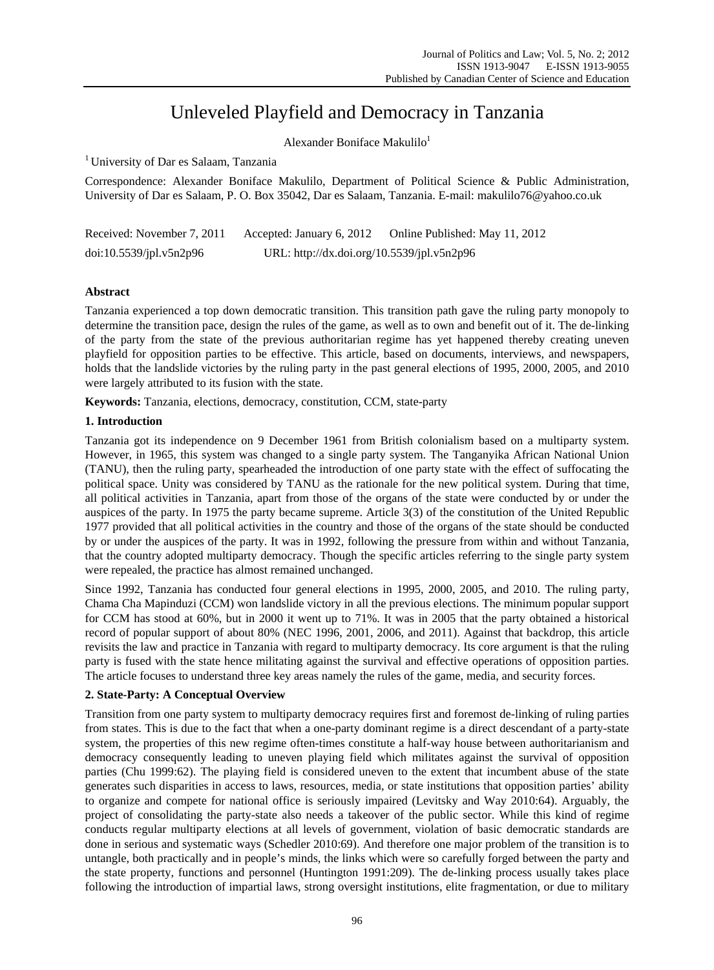# Unleveled Playfield and Democracy in Tanzania

Alexander Boniface Makulilo $<sup>1</sup>$ </sup>

1 University of Dar es Salaam, Tanzania

Correspondence: Alexander Boniface Makulilo, Department of Political Science & Public Administration, University of Dar es Salaam, P. O. Box 35042, Dar es Salaam, Tanzania. E-mail: makulilo76@yahoo.co.uk

Received: November 7, 2011 Accepted: January 6, 2012 Online Published: May 11, 2012 doi:10.5539/jpl.v5n2p96 URL: http://dx.doi.org/10.5539/jpl.v5n2p96

## **Abstract**

Tanzania experienced a top down democratic transition. This transition path gave the ruling party monopoly to determine the transition pace, design the rules of the game, as well as to own and benefit out of it. The de-linking of the party from the state of the previous authoritarian regime has yet happened thereby creating uneven playfield for opposition parties to be effective. This article, based on documents, interviews, and newspapers, holds that the landslide victories by the ruling party in the past general elections of 1995, 2000, 2005, and 2010 were largely attributed to its fusion with the state.

**Keywords:** Tanzania, elections, democracy, constitution, CCM, state-party

## **1. Introduction**

Tanzania got its independence on 9 December 1961 from British colonialism based on a multiparty system. However, in 1965, this system was changed to a single party system. The Tanganyika African National Union (TANU), then the ruling party, spearheaded the introduction of one party state with the effect of suffocating the political space. Unity was considered by TANU as the rationale for the new political system. During that time, all political activities in Tanzania, apart from those of the organs of the state were conducted by or under the auspices of the party. In 1975 the party became supreme. Article 3(3) of the constitution of the United Republic 1977 provided that all political activities in the country and those of the organs of the state should be conducted by or under the auspices of the party. It was in 1992, following the pressure from within and without Tanzania, that the country adopted multiparty democracy. Though the specific articles referring to the single party system were repealed, the practice has almost remained unchanged.

Since 1992, Tanzania has conducted four general elections in 1995, 2000, 2005, and 2010. The ruling party, Chama Cha Mapinduzi (CCM) won landslide victory in all the previous elections. The minimum popular support for CCM has stood at 60%, but in 2000 it went up to 71%. It was in 2005 that the party obtained a historical record of popular support of about 80% (NEC 1996, 2001, 2006, and 2011). Against that backdrop, this article revisits the law and practice in Tanzania with regard to multiparty democracy. Its core argument is that the ruling party is fused with the state hence militating against the survival and effective operations of opposition parties. The article focuses to understand three key areas namely the rules of the game, media, and security forces.

## **2. State-Party: A Conceptual Overview**

Transition from one party system to multiparty democracy requires first and foremost de-linking of ruling parties from states. This is due to the fact that when a one-party dominant regime is a direct descendant of a party-state system, the properties of this new regime often-times constitute a half-way house between authoritarianism and democracy consequently leading to uneven playing field which militates against the survival of opposition parties (Chu 1999:62). The playing field is considered uneven to the extent that incumbent abuse of the state generates such disparities in access to laws, resources, media, or state institutions that opposition parties' ability to organize and compete for national office is seriously impaired (Levitsky and Way 2010:64). Arguably, the project of consolidating the party-state also needs a takeover of the public sector. While this kind of regime conducts regular multiparty elections at all levels of government, violation of basic democratic standards are done in serious and systematic ways (Schedler 2010:69). And therefore one major problem of the transition is to untangle, both practically and in people's minds, the links which were so carefully forged between the party and the state property, functions and personnel (Huntington 1991:209). The de-linking process usually takes place following the introduction of impartial laws, strong oversight institutions, elite fragmentation, or due to military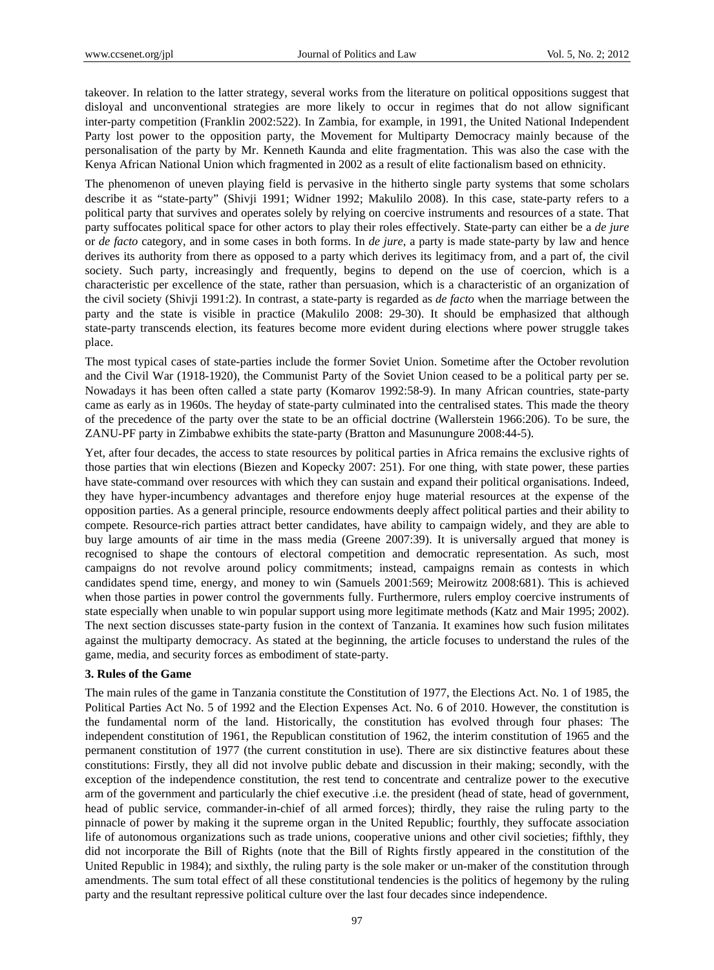takeover. In relation to the latter strategy, several works from the literature on political oppositions suggest that disloyal and unconventional strategies are more likely to occur in regimes that do not allow significant inter-party competition (Franklin 2002:522). In Zambia, for example, in 1991, the United National Independent Party lost power to the opposition party, the Movement for Multiparty Democracy mainly because of the personalisation of the party by Mr. Kenneth Kaunda and elite fragmentation. This was also the case with the Kenya African National Union which fragmented in 2002 as a result of elite factionalism based on ethnicity.

The phenomenon of uneven playing field is pervasive in the hitherto single party systems that some scholars describe it as "state-party" (Shivji 1991; Widner 1992; Makulilo 2008). In this case, state-party refers to a political party that survives and operates solely by relying on coercive instruments and resources of a state. That party suffocates political space for other actors to play their roles effectively. State-party can either be a *de jure* or *de facto* category, and in some cases in both forms. In *de jure*, a party is made state-party by law and hence derives its authority from there as opposed to a party which derives its legitimacy from, and a part of, the civil society. Such party, increasingly and frequently, begins to depend on the use of coercion, which is a characteristic per excellence of the state, rather than persuasion, which is a characteristic of an organization of the civil society (Shivji 1991:2). In contrast, a state-party is regarded as *de facto* when the marriage between the party and the state is visible in practice (Makulilo 2008: 29-30). It should be emphasized that although state-party transcends election, its features become more evident during elections where power struggle takes place.

The most typical cases of state-parties include the former Soviet Union. Sometime after the October revolution and the Civil War (1918-1920), the Communist Party of the Soviet Union ceased to be a political party per se. Nowadays it has been often called a state party (Komarov 1992:58-9). In many African countries, state-party came as early as in 1960s. The heyday of state-party culminated into the centralised states. This made the theory of the precedence of the party over the state to be an official doctrine (Wallerstein 1966:206). To be sure, the ZANU-PF party in Zimbabwe exhibits the state-party (Bratton and Masunungure 2008:44-5).

Yet, after four decades, the access to state resources by political parties in Africa remains the exclusive rights of those parties that win elections (Biezen and Kopecky 2007: 251). For one thing, with state power, these parties have state-command over resources with which they can sustain and expand their political organisations. Indeed, they have hyper-incumbency advantages and therefore enjoy huge material resources at the expense of the opposition parties. As a general principle, resource endowments deeply affect political parties and their ability to compete. Resource-rich parties attract better candidates, have ability to campaign widely, and they are able to buy large amounts of air time in the mass media (Greene 2007:39). It is universally argued that money is recognised to shape the contours of electoral competition and democratic representation. As such, most campaigns do not revolve around policy commitments; instead, campaigns remain as contests in which candidates spend time, energy, and money to win (Samuels 2001:569; Meirowitz 2008:681). This is achieved when those parties in power control the governments fully. Furthermore, rulers employ coercive instruments of state especially when unable to win popular support using more legitimate methods (Katz and Mair 1995; 2002). The next section discusses state-party fusion in the context of Tanzania. It examines how such fusion militates against the multiparty democracy. As stated at the beginning, the article focuses to understand the rules of the game, media, and security forces as embodiment of state-party.

## **3. Rules of the Game**

The main rules of the game in Tanzania constitute the Constitution of 1977, the Elections Act. No. 1 of 1985, the Political Parties Act No. 5 of 1992 and the Election Expenses Act. No. 6 of 2010. However, the constitution is the fundamental norm of the land. Historically, the constitution has evolved through four phases: The independent constitution of 1961, the Republican constitution of 1962, the interim constitution of 1965 and the permanent constitution of 1977 (the current constitution in use). There are six distinctive features about these constitutions: Firstly, they all did not involve public debate and discussion in their making; secondly, with the exception of the independence constitution, the rest tend to concentrate and centralize power to the executive arm of the government and particularly the chief executive .i.e. the president (head of state, head of government, head of public service, commander-in-chief of all armed forces); thirdly, they raise the ruling party to the pinnacle of power by making it the supreme organ in the United Republic; fourthly, they suffocate association life of autonomous organizations such as trade unions, cooperative unions and other civil societies; fifthly, they did not incorporate the Bill of Rights (note that the Bill of Rights firstly appeared in the constitution of the United Republic in 1984); and sixthly, the ruling party is the sole maker or un-maker of the constitution through amendments. The sum total effect of all these constitutional tendencies is the politics of hegemony by the ruling party and the resultant repressive political culture over the last four decades since independence.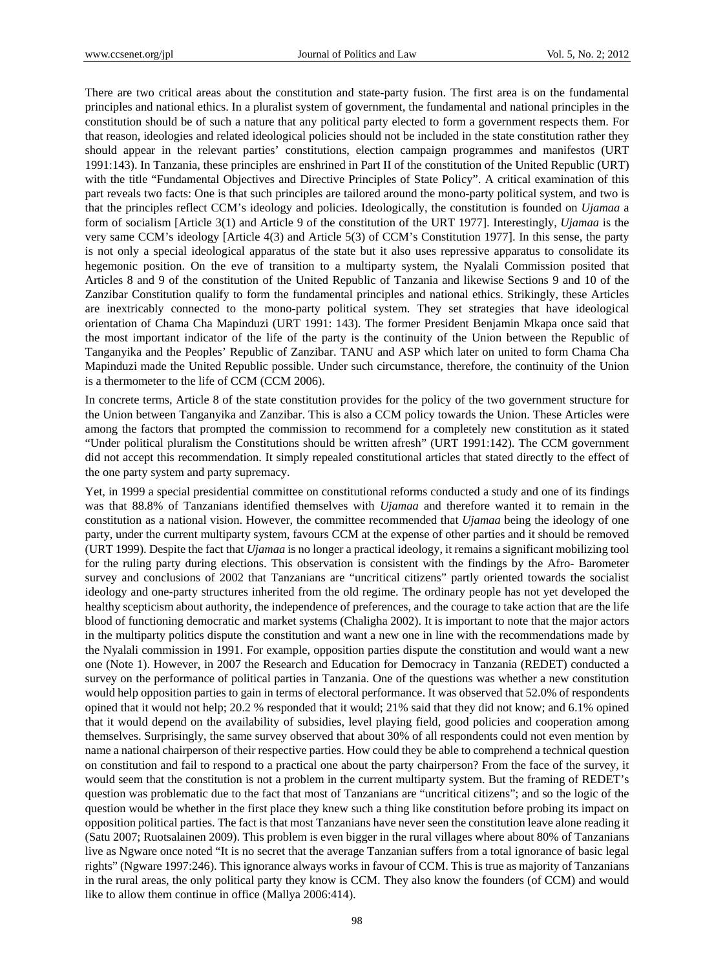There are two critical areas about the constitution and state-party fusion. The first area is on the fundamental principles and national ethics. In a pluralist system of government, the fundamental and national principles in the constitution should be of such a nature that any political party elected to form a government respects them. For that reason, ideologies and related ideological policies should not be included in the state constitution rather they should appear in the relevant parties' constitutions, election campaign programmes and manifestos (URT 1991:143). In Tanzania, these principles are enshrined in Part II of the constitution of the United Republic (URT) with the title "Fundamental Objectives and Directive Principles of State Policy". A critical examination of this part reveals two facts: One is that such principles are tailored around the mono-party political system, and two is that the principles reflect CCM's ideology and policies. Ideologically, the constitution is founded on *Ujamaa* a form of socialism [Article 3(1) and Article 9 of the constitution of the URT 1977]. Interestingly, *Ujamaa* is the very same CCM's ideology [Article 4(3) and Article 5(3) of CCM's Constitution 1977]. In this sense, the party is not only a special ideological apparatus of the state but it also uses repressive apparatus to consolidate its hegemonic position. On the eve of transition to a multiparty system, the Nyalali Commission posited that Articles 8 and 9 of the constitution of the United Republic of Tanzania and likewise Sections 9 and 10 of the Zanzibar Constitution qualify to form the fundamental principles and national ethics. Strikingly, these Articles are inextricably connected to the mono-party political system. They set strategies that have ideological orientation of Chama Cha Mapinduzi (URT 1991: 143). The former President Benjamin Mkapa once said that the most important indicator of the life of the party is the continuity of the Union between the Republic of Tanganyika and the Peoples' Republic of Zanzibar. TANU and ASP which later on united to form Chama Cha Mapinduzi made the United Republic possible. Under such circumstance, therefore, the continuity of the Union is a thermometer to the life of CCM (CCM 2006).

In concrete terms, Article 8 of the state constitution provides for the policy of the two government structure for the Union between Tanganyika and Zanzibar. This is also a CCM policy towards the Union. These Articles were among the factors that prompted the commission to recommend for a completely new constitution as it stated "Under political pluralism the Constitutions should be written afresh" (URT 1991:142). The CCM government did not accept this recommendation. It simply repealed constitutional articles that stated directly to the effect of the one party system and party supremacy.

Yet, in 1999 a special presidential committee on constitutional reforms conducted a study and one of its findings was that 88.8% of Tanzanians identified themselves with *Ujamaa* and therefore wanted it to remain in the constitution as a national vision. However, the committee recommended that *Ujamaa* being the ideology of one party, under the current multiparty system, favours CCM at the expense of other parties and it should be removed (URT 1999). Despite the fact that *Ujamaa* is no longer a practical ideology, it remains a significant mobilizing tool for the ruling party during elections. This observation is consistent with the findings by the Afro- Barometer survey and conclusions of 2002 that Tanzanians are "uncritical citizens" partly oriented towards the socialist ideology and one-party structures inherited from the old regime. The ordinary people has not yet developed the healthy scepticism about authority, the independence of preferences, and the courage to take action that are the life blood of functioning democratic and market systems (Chaligha 2002). It is important to note that the major actors in the multiparty politics dispute the constitution and want a new one in line with the recommendations made by the Nyalali commission in 1991. For example, opposition parties dispute the constitution and would want a new one (Note 1). However, in 2007 the Research and Education for Democracy in Tanzania (REDET) conducted a survey on the performance of political parties in Tanzania. One of the questions was whether a new constitution would help opposition parties to gain in terms of electoral performance. It was observed that 52.0% of respondents opined that it would not help; 20.2 % responded that it would; 21% said that they did not know; and 6.1% opined that it would depend on the availability of subsidies, level playing field, good policies and cooperation among themselves. Surprisingly, the same survey observed that about 30% of all respondents could not even mention by name a national chairperson of their respective parties. How could they be able to comprehend a technical question on constitution and fail to respond to a practical one about the party chairperson? From the face of the survey, it would seem that the constitution is not a problem in the current multiparty system. But the framing of REDET's question was problematic due to the fact that most of Tanzanians are "uncritical citizens"; and so the logic of the question would be whether in the first place they knew such a thing like constitution before probing its impact on opposition political parties. The fact is that most Tanzanians have never seen the constitution leave alone reading it (Satu 2007; Ruotsalainen 2009). This problem is even bigger in the rural villages where about 80% of Tanzanians live as Ngware once noted "It is no secret that the average Tanzanian suffers from a total ignorance of basic legal rights" (Ngware 1997:246). This ignorance always works in favour of CCM. This is true as majority of Tanzanians in the rural areas, the only political party they know is CCM. They also know the founders (of CCM) and would like to allow them continue in office (Mallya 2006:414).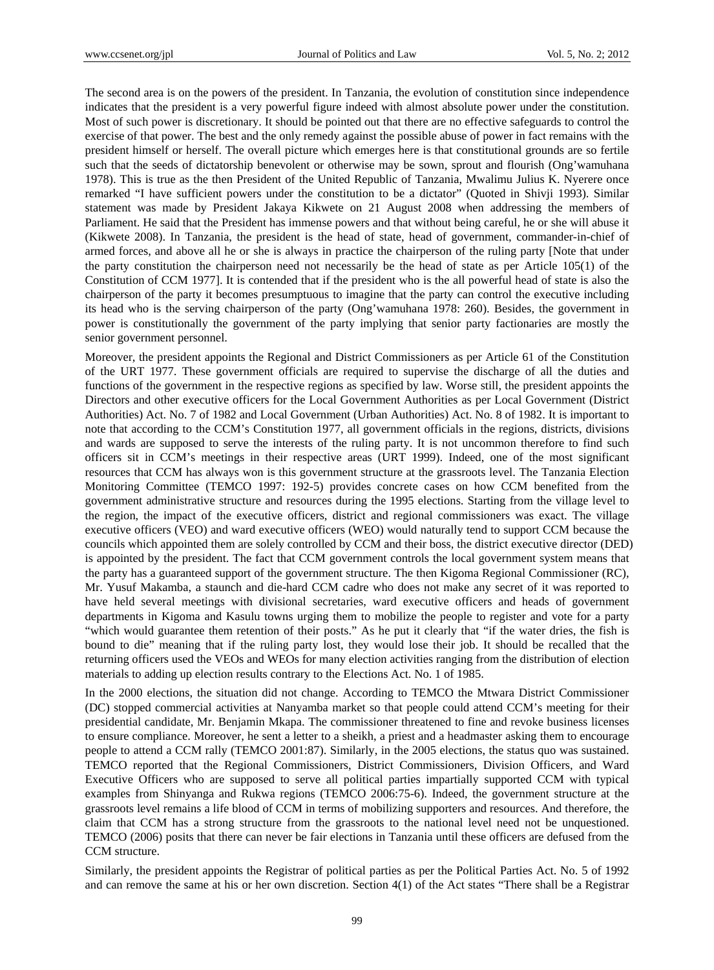The second area is on the powers of the president. In Tanzania, the evolution of constitution since independence indicates that the president is a very powerful figure indeed with almost absolute power under the constitution. Most of such power is discretionary. It should be pointed out that there are no effective safeguards to control the exercise of that power. The best and the only remedy against the possible abuse of power in fact remains with the president himself or herself. The overall picture which emerges here is that constitutional grounds are so fertile such that the seeds of dictatorship benevolent or otherwise may be sown, sprout and flourish (Ong'wamuhana 1978). This is true as the then President of the United Republic of Tanzania, Mwalimu Julius K. Nyerere once remarked "I have sufficient powers under the constitution to be a dictator" (Quoted in Shivji 1993). Similar statement was made by President Jakaya Kikwete on 21 August 2008 when addressing the members of Parliament. He said that the President has immense powers and that without being careful, he or she will abuse it (Kikwete 2008). In Tanzania, the president is the head of state, head of government, commander-in-chief of armed forces, and above all he or she is always in practice the chairperson of the ruling party [Note that under the party constitution the chairperson need not necessarily be the head of state as per Article 105(1) of the Constitution of CCM 1977]. It is contended that if the president who is the all powerful head of state is also the chairperson of the party it becomes presumptuous to imagine that the party can control the executive including its head who is the serving chairperson of the party (Ong'wamuhana 1978: 260). Besides, the government in power is constitutionally the government of the party implying that senior party factionaries are mostly the senior government personnel.

Moreover, the president appoints the Regional and District Commissioners as per Article 61 of the Constitution of the URT 1977. These government officials are required to supervise the discharge of all the duties and functions of the government in the respective regions as specified by law. Worse still, the president appoints the Directors and other executive officers for the Local Government Authorities as per Local Government (District Authorities) Act. No. 7 of 1982 and Local Government (Urban Authorities) Act. No. 8 of 1982. It is important to note that according to the CCM's Constitution 1977, all government officials in the regions, districts, divisions and wards are supposed to serve the interests of the ruling party. It is not uncommon therefore to find such officers sit in CCM's meetings in their respective areas (URT 1999). Indeed, one of the most significant resources that CCM has always won is this government structure at the grassroots level. The Tanzania Election Monitoring Committee (TEMCO 1997: 192-5) provides concrete cases on how CCM benefited from the government administrative structure and resources during the 1995 elections. Starting from the village level to the region, the impact of the executive officers, district and regional commissioners was exact. The village executive officers (VEO) and ward executive officers (WEO) would naturally tend to support CCM because the councils which appointed them are solely controlled by CCM and their boss, the district executive director (DED) is appointed by the president. The fact that CCM government controls the local government system means that the party has a guaranteed support of the government structure. The then Kigoma Regional Commissioner (RC), Mr. Yusuf Makamba, a staunch and die-hard CCM cadre who does not make any secret of it was reported to have held several meetings with divisional secretaries, ward executive officers and heads of government departments in Kigoma and Kasulu towns urging them to mobilize the people to register and vote for a party "which would guarantee them retention of their posts." As he put it clearly that "if the water dries, the fish is bound to die" meaning that if the ruling party lost, they would lose their job. It should be recalled that the returning officers used the VEOs and WEOs for many election activities ranging from the distribution of election materials to adding up election results contrary to the Elections Act. No. 1 of 1985.

In the 2000 elections, the situation did not change. According to TEMCO the Mtwara District Commissioner (DC) stopped commercial activities at Nanyamba market so that people could attend CCM's meeting for their presidential candidate, Mr. Benjamin Mkapa. The commissioner threatened to fine and revoke business licenses to ensure compliance. Moreover, he sent a letter to a sheikh, a priest and a headmaster asking them to encourage people to attend a CCM rally (TEMCO 2001:87). Similarly, in the 2005 elections, the status quo was sustained. TEMCO reported that the Regional Commissioners, District Commissioners, Division Officers, and Ward Executive Officers who are supposed to serve all political parties impartially supported CCM with typical examples from Shinyanga and Rukwa regions (TEMCO 2006:75-6). Indeed, the government structure at the grassroots level remains a life blood of CCM in terms of mobilizing supporters and resources. And therefore, the claim that CCM has a strong structure from the grassroots to the national level need not be unquestioned. TEMCO (2006) posits that there can never be fair elections in Tanzania until these officers are defused from the CCM structure.

Similarly, the president appoints the Registrar of political parties as per the Political Parties Act. No. 5 of 1992 and can remove the same at his or her own discretion. Section 4(1) of the Act states "There shall be a Registrar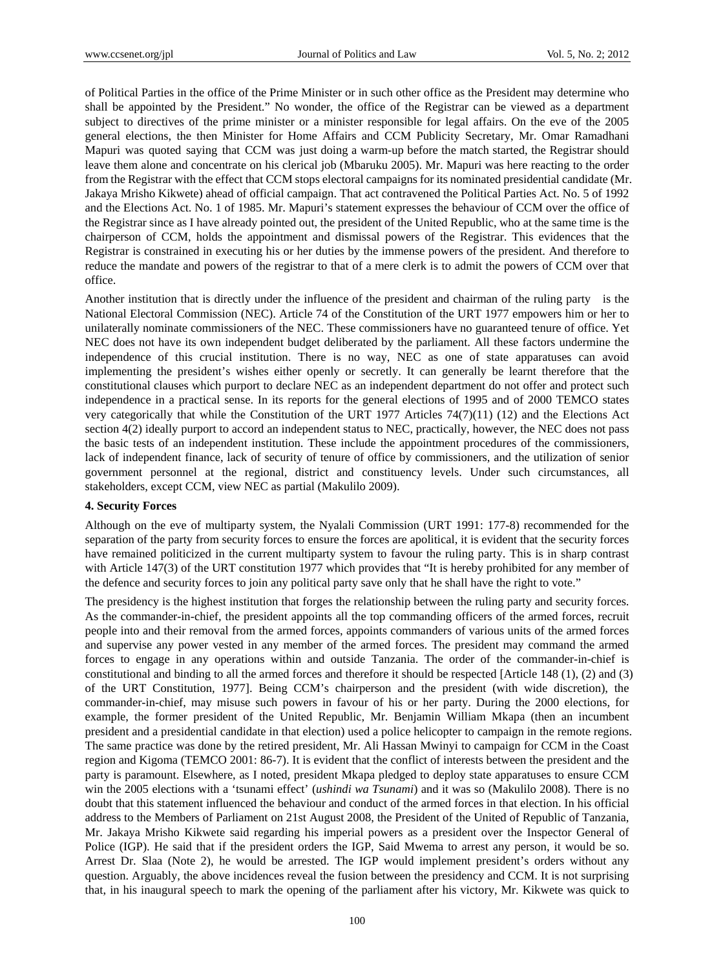of Political Parties in the office of the Prime Minister or in such other office as the President may determine who shall be appointed by the President." No wonder, the office of the Registrar can be viewed as a department subject to directives of the prime minister or a minister responsible for legal affairs. On the eve of the 2005 general elections, the then Minister for Home Affairs and CCM Publicity Secretary, Mr. Omar Ramadhani Mapuri was quoted saying that CCM was just doing a warm-up before the match started, the Registrar should leave them alone and concentrate on his clerical job (Mbaruku 2005). Mr. Mapuri was here reacting to the order from the Registrar with the effect that CCM stops electoral campaigns for its nominated presidential candidate (Mr. Jakaya Mrisho Kikwete) ahead of official campaign. That act contravened the Political Parties Act. No. 5 of 1992 and the Elections Act. No. 1 of 1985. Mr. Mapuri's statement expresses the behaviour of CCM over the office of the Registrar since as I have already pointed out, the president of the United Republic, who at the same time is the chairperson of CCM, holds the appointment and dismissal powers of the Registrar. This evidences that the Registrar is constrained in executing his or her duties by the immense powers of the president. And therefore to reduce the mandate and powers of the registrar to that of a mere clerk is to admit the powers of CCM over that office.

Another institution that is directly under the influence of the president and chairman of the ruling party is the National Electoral Commission (NEC). Article 74 of the Constitution of the URT 1977 empowers him or her to unilaterally nominate commissioners of the NEC. These commissioners have no guaranteed tenure of office. Yet NEC does not have its own independent budget deliberated by the parliament. All these factors undermine the independence of this crucial institution. There is no way, NEC as one of state apparatuses can avoid implementing the president's wishes either openly or secretly. It can generally be learnt therefore that the constitutional clauses which purport to declare NEC as an independent department do not offer and protect such independence in a practical sense. In its reports for the general elections of 1995 and of 2000 TEMCO states very categorically that while the Constitution of the URT 1977 Articles 74(7)(11) (12) and the Elections Act section 4(2) ideally purport to accord an independent status to NEC, practically, however, the NEC does not pass the basic tests of an independent institution. These include the appointment procedures of the commissioners, lack of independent finance, lack of security of tenure of office by commissioners, and the utilization of senior government personnel at the regional, district and constituency levels. Under such circumstances, all stakeholders, except CCM, view NEC as partial (Makulilo 2009).

#### **4. Security Forces**

Although on the eve of multiparty system, the Nyalali Commission (URT 1991: 177-8) recommended for the separation of the party from security forces to ensure the forces are apolitical, it is evident that the security forces have remained politicized in the current multiparty system to favour the ruling party. This is in sharp contrast with Article 147(3) of the URT constitution 1977 which provides that "It is hereby prohibited for any member of the defence and security forces to join any political party save only that he shall have the right to vote."

The presidency is the highest institution that forges the relationship between the ruling party and security forces. As the commander-in-chief, the president appoints all the top commanding officers of the armed forces, recruit people into and their removal from the armed forces, appoints commanders of various units of the armed forces and supervise any power vested in any member of the armed forces. The president may command the armed forces to engage in any operations within and outside Tanzania. The order of the commander-in-chief is constitutional and binding to all the armed forces and therefore it should be respected [Article 148 (1), (2) and (3) of the URT Constitution, 1977]. Being CCM's chairperson and the president (with wide discretion), the commander-in-chief, may misuse such powers in favour of his or her party. During the 2000 elections, for example, the former president of the United Republic, Mr. Benjamin William Mkapa (then an incumbent president and a presidential candidate in that election) used a police helicopter to campaign in the remote regions. The same practice was done by the retired president, Mr. Ali Hassan Mwinyi to campaign for CCM in the Coast region and Kigoma (TEMCO 2001: 86-7). It is evident that the conflict of interests between the president and the party is paramount. Elsewhere, as I noted, president Mkapa pledged to deploy state apparatuses to ensure CCM win the 2005 elections with a 'tsunami effect' (*ushindi wa Tsunami*) and it was so (Makulilo 2008). There is no doubt that this statement influenced the behaviour and conduct of the armed forces in that election. In his official address to the Members of Parliament on 21st August 2008, the President of the United of Republic of Tanzania, Mr. Jakaya Mrisho Kikwete said regarding his imperial powers as a president over the Inspector General of Police (IGP). He said that if the president orders the IGP, Said Mwema to arrest any person, it would be so. Arrest Dr. Slaa (Note 2), he would be arrested. The IGP would implement president's orders without any question. Arguably, the above incidences reveal the fusion between the presidency and CCM. It is not surprising that, in his inaugural speech to mark the opening of the parliament after his victory, Mr. Kikwete was quick to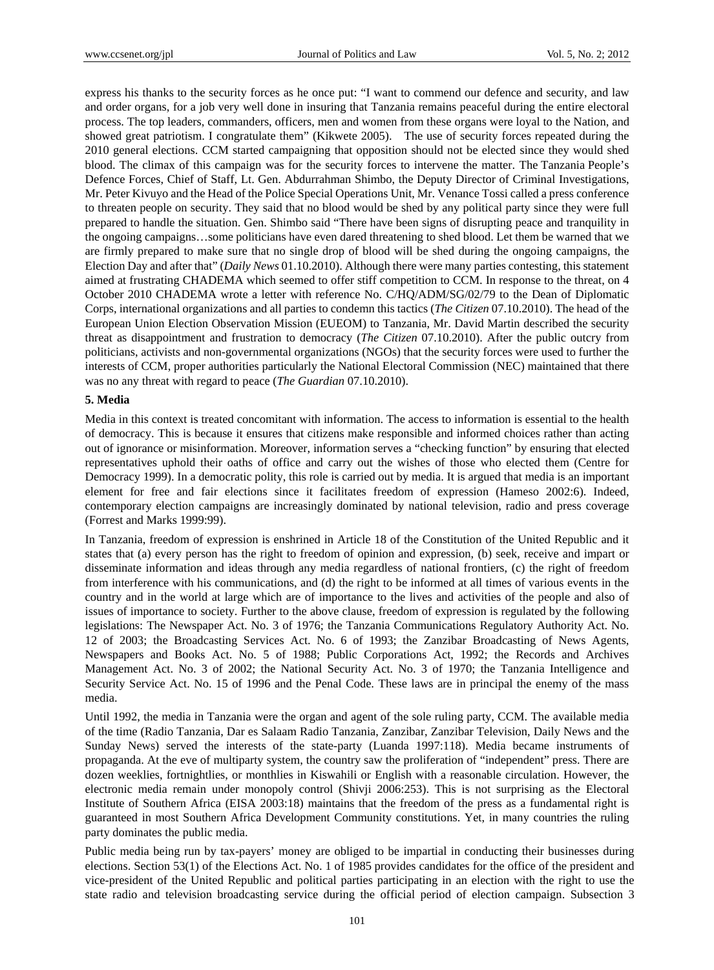express his thanks to the security forces as he once put: "I want to commend our defence and security, and law and order organs, for a job very well done in insuring that Tanzania remains peaceful during the entire electoral process. The top leaders, commanders, officers, men and women from these organs were loyal to the Nation, and showed great patriotism. I congratulate them" (Kikwete 2005). The use of security forces repeated during the 2010 general elections. CCM started campaigning that opposition should not be elected since they would shed blood. The climax of this campaign was for the security forces to intervene the matter. The Tanzania People's Defence Forces, Chief of Staff, Lt. Gen. Abdurrahman Shimbo, the Deputy Director of Criminal Investigations, Mr. Peter Kivuyo and the Head of the Police Special Operations Unit, Mr. Venance Tossi called a press conference to threaten people on security. They said that no blood would be shed by any political party since they were full prepared to handle the situation. Gen. Shimbo said "There have been signs of disrupting peace and tranquility in the ongoing campaigns…some politicians have even dared threatening to shed blood. Let them be warned that we are firmly prepared to make sure that no single drop of blood will be shed during the ongoing campaigns, the Election Day and after that" (*Daily News* 01.10.2010). Although there were many parties contesting, this statement aimed at frustrating CHADEMA which seemed to offer stiff competition to CCM. In response to the threat, on 4 October 2010 CHADEMA wrote a letter with reference No. C/HQ/ADM/SG/02/79 to the Dean of Diplomatic Corps, international organizations and all parties to condemn this tactics (*The Citizen* 07.10.2010). The head of the European Union Election Observation Mission (EUEOM) to Tanzania, Mr. David Martin described the security threat as disappointment and frustration to democracy (*The Citizen* 07.10.2010). After the public outcry from politicians, activists and non-governmental organizations (NGOs) that the security forces were used to further the interests of CCM, proper authorities particularly the National Electoral Commission (NEC) maintained that there was no any threat with regard to peace (*The Guardian* 07.10.2010).

### **5. Media**

Media in this context is treated concomitant with information. The access to information is essential to the health of democracy. This is because it ensures that citizens make responsible and informed choices rather than acting out of ignorance or misinformation. Moreover, information serves a "checking function" by ensuring that elected representatives uphold their oaths of office and carry out the wishes of those who elected them (Centre for Democracy 1999). In a democratic polity, this role is carried out by media. It is argued that media is an important element for free and fair elections since it facilitates freedom of expression (Hameso 2002:6). Indeed, contemporary election campaigns are increasingly dominated by national television, radio and press coverage (Forrest and Marks 1999:99).

In Tanzania, freedom of expression is enshrined in Article 18 of the Constitution of the United Republic and it states that (a) every person has the right to freedom of opinion and expression, (b) seek, receive and impart or disseminate information and ideas through any media regardless of national frontiers, (c) the right of freedom from interference with his communications, and (d) the right to be informed at all times of various events in the country and in the world at large which are of importance to the lives and activities of the people and also of issues of importance to society. Further to the above clause, freedom of expression is regulated by the following legislations: The Newspaper Act. No. 3 of 1976; the Tanzania Communications Regulatory Authority Act. No. 12 of 2003; the Broadcasting Services Act. No. 6 of 1993; the Zanzibar Broadcasting of News Agents, Newspapers and Books Act. No. 5 of 1988; Public Corporations Act, 1992; the Records and Archives Management Act. No. 3 of 2002; the National Security Act. No. 3 of 1970; the Tanzania Intelligence and Security Service Act. No. 15 of 1996 and the Penal Code. These laws are in principal the enemy of the mass media.

Until 1992, the media in Tanzania were the organ and agent of the sole ruling party, CCM. The available media of the time (Radio Tanzania, Dar es Salaam Radio Tanzania, Zanzibar, Zanzibar Television, Daily News and the Sunday News) served the interests of the state-party (Luanda 1997:118). Media became instruments of propaganda. At the eve of multiparty system, the country saw the proliferation of "independent" press. There are dozen weeklies, fortnightlies, or monthlies in Kiswahili or English with a reasonable circulation. However, the electronic media remain under monopoly control (Shivji 2006:253). This is not surprising as the Electoral Institute of Southern Africa (EISA 2003:18) maintains that the freedom of the press as a fundamental right is guaranteed in most Southern Africa Development Community constitutions. Yet, in many countries the ruling party dominates the public media.

Public media being run by tax-payers' money are obliged to be impartial in conducting their businesses during elections. Section 53(1) of the Elections Act. No. 1 of 1985 provides candidates for the office of the president and vice-president of the United Republic and political parties participating in an election with the right to use the state radio and television broadcasting service during the official period of election campaign. Subsection 3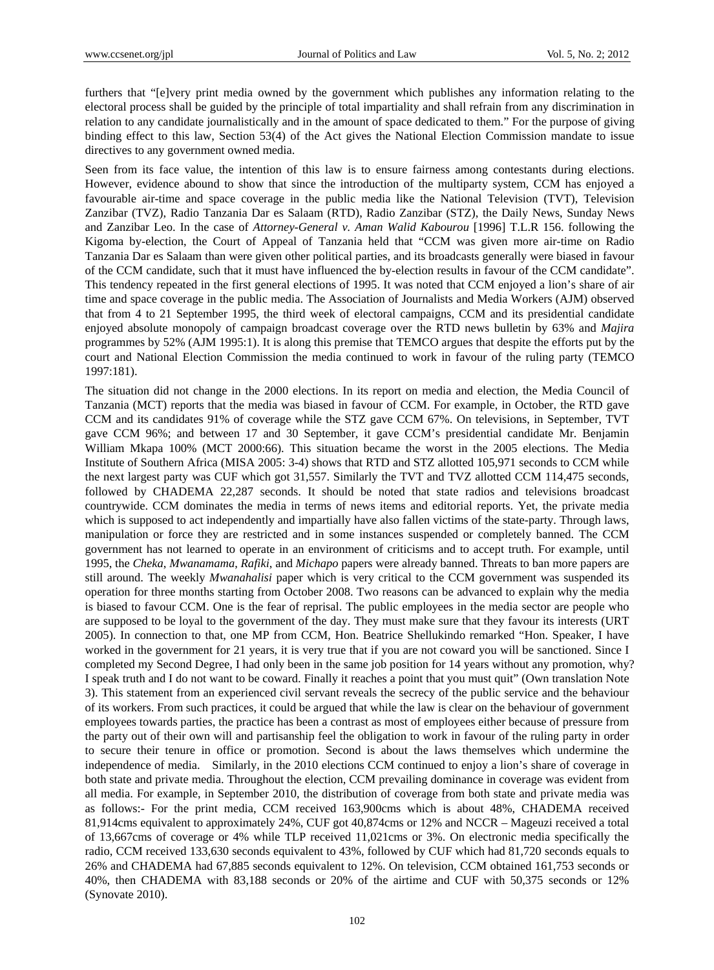furthers that "[e]very print media owned by the government which publishes any information relating to the electoral process shall be guided by the principle of total impartiality and shall refrain from any discrimination in relation to any candidate journalistically and in the amount of space dedicated to them." For the purpose of giving binding effect to this law, Section 53(4) of the Act gives the National Election Commission mandate to issue directives to any government owned media.

Seen from its face value, the intention of this law is to ensure fairness among contestants during elections. However, evidence abound to show that since the introduction of the multiparty system, CCM has enjoyed a favourable air-time and space coverage in the public media like the National Television (TVT), Television Zanzibar (TVZ), Radio Tanzania Dar es Salaam (RTD), Radio Zanzibar (STZ), the Daily News, Sunday News and Zanzibar Leo. In the case of *Attorney-General v. Aman Walid Kabourou* [1996] T.L.R 156. following the Kigoma by-election, the Court of Appeal of Tanzania held that "CCM was given more air-time on Radio Tanzania Dar es Salaam than were given other political parties, and its broadcasts generally were biased in favour of the CCM candidate, such that it must have influenced the by-election results in favour of the CCM candidate". This tendency repeated in the first general elections of 1995. It was noted that CCM enjoyed a lion's share of air time and space coverage in the public media. The Association of Journalists and Media Workers (AJM) observed that from 4 to 21 September 1995, the third week of electoral campaigns, CCM and its presidential candidate enjoyed absolute monopoly of campaign broadcast coverage over the RTD news bulletin by 63% and *Majira* programmes by 52% (AJM 1995:1). It is along this premise that TEMCO argues that despite the efforts put by the court and National Election Commission the media continued to work in favour of the ruling party (TEMCO 1997:181).

The situation did not change in the 2000 elections. In its report on media and election, the Media Council of Tanzania (MCT) reports that the media was biased in favour of CCM. For example, in October, the RTD gave CCM and its candidates 91% of coverage while the STZ gave CCM 67%. On televisions, in September, TVT gave CCM 96%; and between 17 and 30 September, it gave CCM's presidential candidate Mr. Benjamin William Mkapa 100% (MCT 2000:66). This situation became the worst in the 2005 elections. The Media Institute of Southern Africa (MISA 2005: 3-4) shows that RTD and STZ allotted 105,971 seconds to CCM while the next largest party was CUF which got 31,557. Similarly the TVT and TVZ allotted CCM 114,475 seconds, followed by CHADEMA 22,287 seconds. It should be noted that state radios and televisions broadcast countrywide. CCM dominates the media in terms of news items and editorial reports. Yet, the private media which is supposed to act independently and impartially have also fallen victims of the state-party. Through laws, manipulation or force they are restricted and in some instances suspended or completely banned. The CCM government has not learned to operate in an environment of criticisms and to accept truth. For example, until 1995, the *Cheka*, *Mwanamama*, *Rafiki*, and *Michapo* papers were already banned. Threats to ban more papers are still around. The weekly *Mwanahalisi* paper which is very critical to the CCM government was suspended its operation for three months starting from October 2008. Two reasons can be advanced to explain why the media is biased to favour CCM. One is the fear of reprisal. The public employees in the media sector are people who are supposed to be loyal to the government of the day. They must make sure that they favour its interests (URT 2005). In connection to that, one MP from CCM, Hon. Beatrice Shellukindo remarked "Hon. Speaker, I have worked in the government for 21 years, it is very true that if you are not coward you will be sanctioned. Since I completed my Second Degree, I had only been in the same job position for 14 years without any promotion, why? I speak truth and I do not want to be coward. Finally it reaches a point that you must quit" (Own translation Note 3). This statement from an experienced civil servant reveals the secrecy of the public service and the behaviour of its workers. From such practices, it could be argued that while the law is clear on the behaviour of government employees towards parties, the practice has been a contrast as most of employees either because of pressure from the party out of their own will and partisanship feel the obligation to work in favour of the ruling party in order to secure their tenure in office or promotion. Second is about the laws themselves which undermine the independence of media. Similarly, in the 2010 elections CCM continued to enjoy a lion's share of coverage in both state and private media. Throughout the election, CCM prevailing dominance in coverage was evident from all media. For example, in September 2010, the distribution of coverage from both state and private media was as follows:- For the print media, CCM received 163,900cms which is about 48%, CHADEMA received 81,914cms equivalent to approximately 24%, CUF got 40,874cms or 12% and NCCR – Mageuzi received a total of 13,667cms of coverage or 4% while TLP received 11,021cms or 3%. On electronic media specifically the radio, CCM received 133,630 seconds equivalent to 43%, followed by CUF which had 81,720 seconds equals to 26% and CHADEMA had 67,885 seconds equivalent to 12%. On television, CCM obtained 161,753 seconds or 40%, then CHADEMA with 83,188 seconds or 20% of the airtime and CUF with 50,375 seconds or 12% (Synovate 2010).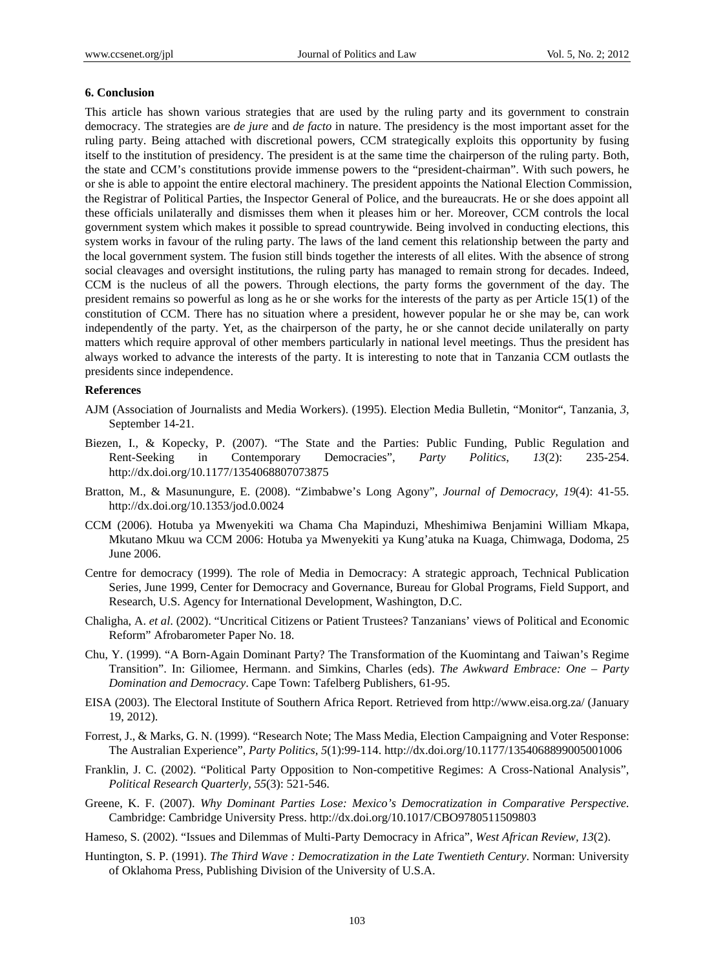#### **6. Conclusion**

This article has shown various strategies that are used by the ruling party and its government to constrain democracy. The strategies are *de jure* and *de facto* in nature. The presidency is the most important asset for the ruling party. Being attached with discretional powers, CCM strategically exploits this opportunity by fusing itself to the institution of presidency. The president is at the same time the chairperson of the ruling party. Both, the state and CCM's constitutions provide immense powers to the "president-chairman". With such powers, he or she is able to appoint the entire electoral machinery. The president appoints the National Election Commission, the Registrar of Political Parties, the Inspector General of Police, and the bureaucrats. He or she does appoint all these officials unilaterally and dismisses them when it pleases him or her. Moreover, CCM controls the local government system which makes it possible to spread countrywide. Being involved in conducting elections, this system works in favour of the ruling party. The laws of the land cement this relationship between the party and the local government system. The fusion still binds together the interests of all elites. With the absence of strong social cleavages and oversight institutions, the ruling party has managed to remain strong for decades. Indeed, CCM is the nucleus of all the powers. Through elections, the party forms the government of the day. The president remains so powerful as long as he or she works for the interests of the party as per Article 15(1) of the constitution of CCM. There has no situation where a president, however popular he or she may be, can work independently of the party. Yet, as the chairperson of the party, he or she cannot decide unilaterally on party matters which require approval of other members particularly in national level meetings. Thus the president has always worked to advance the interests of the party. It is interesting to note that in Tanzania CCM outlasts the presidents since independence.

#### **References**

- AJM (Association of Journalists and Media Workers). (1995). Election Media Bulletin, "Monitor", Tanzania, *3,* September 14-21.
- Biezen, I., & Kopecky, P. (2007). "The State and the Parties: Public Funding, Public Regulation and Rent-Seeking in Contemporary Democracies", *Party Politics*, *13*(2): 235-254. http://dx.doi.org/10.1177/1354068807073875
- Bratton, M., & Masunungure, E. (2008). "Zimbabwe's Long Agony", *Journal of Democracy, 19*(4): 41-55. http://dx.doi.org/10.1353/jod.0.0024
- CCM (2006). Hotuba ya Mwenyekiti wa Chama Cha Mapinduzi, Mheshimiwa Benjamini William Mkapa, Mkutano Mkuu wa CCM 2006: Hotuba ya Mwenyekiti ya Kung'atuka na Kuaga, Chimwaga, Dodoma, 25 June 2006.
- Centre for democracy (1999). The role of Media in Democracy: A strategic approach, Technical Publication Series, June 1999, Center for Democracy and Governance, Bureau for Global Programs, Field Support, and Research, U.S. Agency for International Development, Washington, D.C.
- Chaligha, A. *et al*. (2002). "Uncritical Citizens or Patient Trustees? Tanzanians' views of Political and Economic Reform" Afrobarometer Paper No. 18.
- Chu, Y. (1999). "A Born-Again Dominant Party? The Transformation of the Kuomintang and Taiwan's Regime Transition". In: Giliomee, Hermann. and Simkins, Charles (eds). *The Awkward Embrace: One – Party Domination and Democracy*. Cape Town: Tafelberg Publishers, 61-95.
- EISA (2003). The Electoral Institute of Southern Africa Report. Retrieved from http://www.eisa.org.za/ (January 19, 2012).
- Forrest, J., & Marks, G. N. (1999). "Research Note; The Mass Media, Election Campaigning and Voter Response: The Australian Experience", *Party Politics, 5*(1):99-114. http://dx.doi.org/10.1177/1354068899005001006
- Franklin, J. C. (2002). "Political Party Opposition to Non-competitive Regimes: A Cross-National Analysis", *Political Research Quarterly, 55*(3): 521-546.
- Greene, K. F. (2007). *Why Dominant Parties Lose: Mexico's Democratization in Comparative Perspective*. Cambridge: Cambridge University Press. http://dx.doi.org/10.1017/CBO9780511509803
- Hameso, S. (2002). "Issues and Dilemmas of Multi-Party Democracy in Africa", *West African Review, 13*(2).
- Huntington, S. P. (1991). *The Third Wave : Democratization in the Late Twentieth Century*. Norman: University of Oklahoma Press, Publishing Division of the University of U.S.A.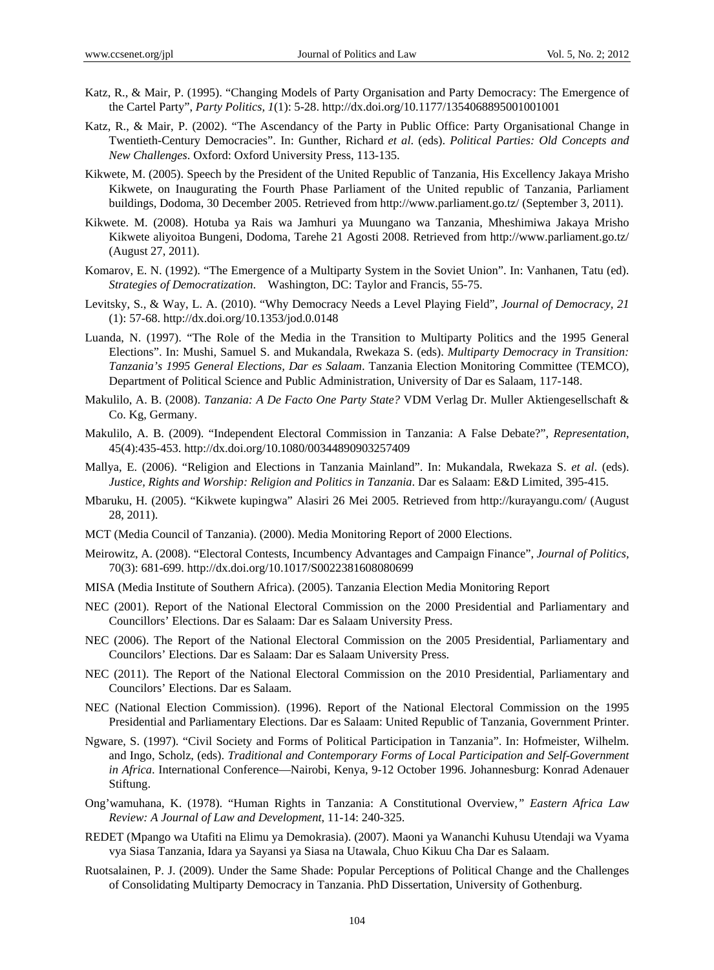- Katz, R., & Mair, P. (1995). "Changing Models of Party Organisation and Party Democracy: The Emergence of the Cartel Party", *Party Politics, 1*(1): 5-28. http://dx.doi.org/10.1177/1354068895001001001
- Katz, R., & Mair, P. (2002). "The Ascendancy of the Party in Public Office: Party Organisational Change in Twentieth-Century Democracies". In: Gunther, Richard *et al*. (eds). *Political Parties: Old Concepts and New Challenges*. Oxford: Oxford University Press, 113-135.
- Kikwete, M. (2005). Speech by the President of the United Republic of Tanzania, His Excellency Jakaya Mrisho Kikwete, on Inaugurating the Fourth Phase Parliament of the United republic of Tanzania, Parliament buildings, Dodoma, 30 December 2005. Retrieved from http://www.parliament.go.tz/ (September 3, 2011).
- Kikwete. M. (2008). Hotuba ya Rais wa Jamhuri ya Muungano wa Tanzania, Mheshimiwa Jakaya Mrisho Kikwete aliyoitoa Bungeni, Dodoma, Tarehe 21 Agosti 2008. Retrieved from http://www.parliament.go.tz/ (August 27, 2011).
- Komarov, E. N. (1992). "The Emergence of a Multiparty System in the Soviet Union". In: Vanhanen, Tatu (ed). *Strategies of Democratization*. Washington, DC: Taylor and Francis, 55-75.
- Levitsky, S., & Way, L. A. (2010). "Why Democracy Needs a Level Playing Field", *Journal of Democracy, 21*  (1): 57-68. http://dx.doi.org/10.1353/jod.0.0148
- Luanda, N. (1997). "The Role of the Media in the Transition to Multiparty Politics and the 1995 General Elections". In: Mushi, Samuel S. and Mukandala, Rwekaza S. (eds). *Multiparty Democracy in Transition: Tanzania's 1995 General Elections, Dar es Salaam*. Tanzania Election Monitoring Committee (TEMCO), Department of Political Science and Public Administration, University of Dar es Salaam, 117-148.
- Makulilo, A. B. (2008). *Tanzania: A De Facto One Party State?* VDM Verlag Dr. Muller Aktiengesellschaft & Co. Kg, Germany.
- Makulilo, A. B. (2009). "Independent Electoral Commission in Tanzania: A False Debate?", *Representation*, 45(4):435-453. http://dx.doi.org/10.1080/00344890903257409
- Mallya, E. (2006). "Religion and Elections in Tanzania Mainland". In: Mukandala, Rwekaza S. *et al*. (eds). *Justice, Rights and Worship: Religion and Politics in Tanzania*. Dar es Salaam: E&D Limited, 395-415.
- Mbaruku, H. (2005). "Kikwete kupingwa" Alasiri 26 Mei 2005. Retrieved from http://kurayangu.com/ (August 28, 2011).
- MCT (Media Council of Tanzania). (2000). Media Monitoring Report of 2000 Elections.
- Meirowitz, A. (2008). "Electoral Contests, Incumbency Advantages and Campaign Finance", *Journal of Politics,* 70(3): 681-699. http://dx.doi.org/10.1017/S0022381608080699
- MISA (Media Institute of Southern Africa). (2005). Tanzania Election Media Monitoring Report
- NEC (2001). Report of the National Electoral Commission on the 2000 Presidential and Parliamentary and Councillors' Elections. Dar es Salaam: Dar es Salaam University Press.
- NEC (2006). The Report of the National Electoral Commission on the 2005 Presidential, Parliamentary and Councilors' Elections. Dar es Salaam: Dar es Salaam University Press.
- NEC (2011). The Report of the National Electoral Commission on the 2010 Presidential, Parliamentary and Councilors' Elections. Dar es Salaam.
- NEC (National Election Commission). (1996). Report of the National Electoral Commission on the 1995 Presidential and Parliamentary Elections. Dar es Salaam: United Republic of Tanzania, Government Printer.
- Ngware, S. (1997). "Civil Society and Forms of Political Participation in Tanzania". In: Hofmeister, Wilhelm. and Ingo, Scholz, (eds). *Traditional and Contemporary Forms of Local Participation and Self-Government in Africa*. International Conference—Nairobi, Kenya, 9-12 October 1996. Johannesburg: Konrad Adenauer Stiftung.
- Ong'wamuhana, K. (1978). "Human Rights in Tanzania: A Constitutional Overview*," Eastern Africa Law Review: A Journal of Law and Development*, 11-14: 240-325.
- REDET (Mpango wa Utafiti na Elimu ya Demokrasia). (2007). Maoni ya Wananchi Kuhusu Utendaji wa Vyama vya Siasa Tanzania, Idara ya Sayansi ya Siasa na Utawala, Chuo Kikuu Cha Dar es Salaam.
- Ruotsalainen, P. J. (2009). Under the Same Shade: Popular Perceptions of Political Change and the Challenges of Consolidating Multiparty Democracy in Tanzania. PhD Dissertation, University of Gothenburg.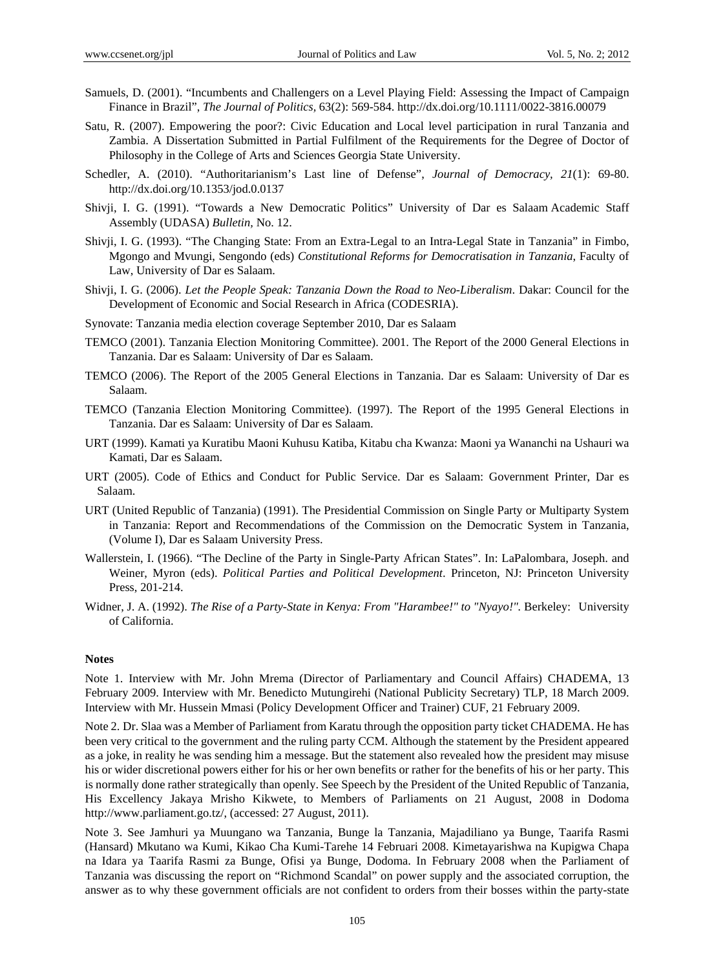- Samuels, D. (2001). "Incumbents and Challengers on a Level Playing Field: Assessing the Impact of Campaign Finance in Brazil", *The Journal of Politics,* 63(2): 569-584. http://dx.doi.org/10.1111/0022-3816.00079
- Satu, R. (2007). Empowering the poor?: Civic Education and Local level participation in rural Tanzania and Zambia. A Dissertation Submitted in Partial Fulfilment of the Requirements for the Degree of Doctor of Philosophy in the College of Arts and Sciences Georgia State University.
- Schedler, A. (2010). "Authoritarianism's Last line of Defense", *Journal of Democracy, 21*(1): 69-80. http://dx.doi.org/10.1353/jod.0.0137
- Shivji, I. G. (1991). "Towards a New Democratic Politics" University of Dar es Salaam Academic Staff Assembly (UDASA) *Bulletin,* No. 12.
- Shivji, I. G. (1993). "The Changing State: From an Extra-Legal to an Intra-Legal State in Tanzania" in Fimbo, Mgongo and Mvungi, Sengondo (eds) *Constitutional Reforms for Democratisation in Tanzania*, Faculty of Law, University of Dar es Salaam.
- Shivji, I. G. (2006). *Let the People Speak: Tanzania Down the Road to Neo-Liberalism*. Dakar: Council for the Development of Economic and Social Research in Africa (CODESRIA).
- Synovate: Tanzania media election coverage September 2010, Dar es Salaam
- TEMCO (2001). Tanzania Election Monitoring Committee). 2001. The Report of the 2000 General Elections in Tanzania. Dar es Salaam: University of Dar es Salaam.
- TEMCO (2006). The Report of the 2005 General Elections in Tanzania. Dar es Salaam: University of Dar es Salaam.
- TEMCO (Tanzania Election Monitoring Committee). (1997). The Report of the 1995 General Elections in Tanzania. Dar es Salaam: University of Dar es Salaam.
- URT (1999). Kamati ya Kuratibu Maoni Kuhusu Katiba, Kitabu cha Kwanza: Maoni ya Wananchi na Ushauri wa Kamati, Dar es Salaam.
- URT (2005). Code of Ethics and Conduct for Public Service. Dar es Salaam: Government Printer, Dar es Salaam.
- URT (United Republic of Tanzania) (1991). The Presidential Commission on Single Party or Multiparty System in Tanzania: Report and Recommendations of the Commission on the Democratic System in Tanzania, (Volume I), Dar es Salaam University Press.
- Wallerstein, I. (1966). "The Decline of the Party in Single-Party African States". In: LaPalombara, Joseph. and Weiner, Myron (eds). *Political Parties and Political Development*. Princeton, NJ: Princeton University Press, 201-214.
- Widner, J. A. (1992). *The Rise of a Party-State in Kenya: From "Harambee!" to "Nyayo!".* Berkeley: University of California.

### **Notes**

Note 1. Interview with Mr. John Mrema (Director of Parliamentary and Council Affairs) CHADEMA, 13 February 2009. Interview with Mr. Benedicto Mutungirehi (National Publicity Secretary) TLP, 18 March 2009. Interview with Mr. Hussein Mmasi (Policy Development Officer and Trainer) CUF, 21 February 2009.

Note 2. Dr. Slaa was a Member of Parliament from Karatu through the opposition party ticket CHADEMA. He has been very critical to the government and the ruling party CCM. Although the statement by the President appeared as a joke, in reality he was sending him a message. But the statement also revealed how the president may misuse his or wider discretional powers either for his or her own benefits or rather for the benefits of his or her party. This is normally done rather strategically than openly. See Speech by the President of the United Republic of Tanzania, His Excellency Jakaya Mrisho Kikwete, to Members of Parliaments on 21 August, 2008 in Dodoma http://www.parliament.go.tz/, (accessed: 27 August, 2011).

Note 3. See Jamhuri ya Muungano wa Tanzania, Bunge la Tanzania, Majadiliano ya Bunge, Taarifa Rasmi (Hansard) Mkutano wa Kumi, Kikao Cha Kumi-Tarehe 14 Februari 2008. Kimetayarishwa na Kupigwa Chapa na Idara ya Taarifa Rasmi za Bunge, Ofisi ya Bunge, Dodoma. In February 2008 when the Parliament of Tanzania was discussing the report on "Richmond Scandal" on power supply and the associated corruption, the answer as to why these government officials are not confident to orders from their bosses within the party-state